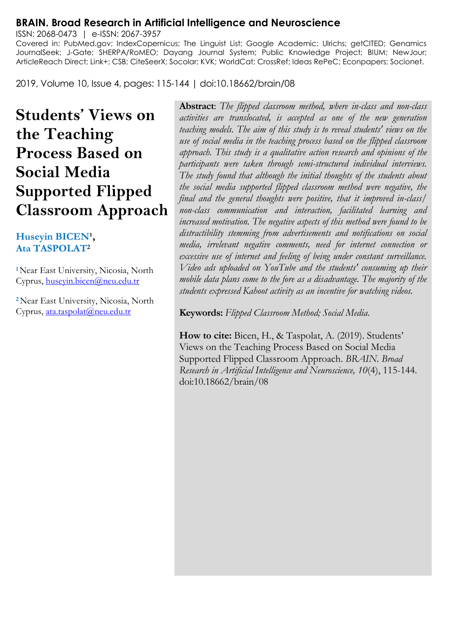#### **BRAIN. Broad Research in Artificial Intelligence and Neuroscience**

ISSN: 2068-0473 | e-ISSN: 2067-3957 Covered in: PubMed.gov; IndexCopernicus; The Linguist List; Google Academic; Ulrichs; getCITED; Genamics JournalSeek; J-Gate; SHERPA/RoMEO; Dayang Journal System; Public Knowledge Project; BIUM; NewJour; ArticleReach Direct; Link+; CSB; CiteSeerX; Socolar; KVK; WorldCat; CrossRef; Ideas RePeC; Econpapers; Socionet.

2019, Volume 10, Issue 4, pages: 115-144 | doi:10.18662/brain/08

**Students' Views on the Teaching Process Based on Social Media Supported Flipped Classroom Approach**

#### Huseyin BICEN<sup>1</sup>, **Ata TASPOLAT<sup>2</sup>**

**<sup>1</sup>**Near East University, Nicosia, North Cyprus, [huseyin.bicen@neu.edu.tr](mailto:huseyin.bicen@neu.edu.tr)

**<sup>2</sup>**Near East University, Nicosia, North Cyprus, [ata.taspolat@neu.edu.tr](mailto:ata.taspolat@neu.edu.tr)

**Abstract**: *The flipped classroom method, where in-class and non-class activities are translocated, is accepted as one of the new generation teaching models. The aim of this study is to reveal students' views on the use of social media in the teaching process based on the flipped classroom approach. This study is a qualitative action research and opinions of the participants were taken through semi-structured individual interviews. The study found that although the initial thoughts of the students about the social media supported flipped classroom method were negative, the final and the general thoughts were positive, that it improved in-class/ non-class communication and interaction, facilitated learning and increased motivation. The negative aspects of this method were found to be distractibility stemming from advertisements and notifications on social media, irrelevant negative comments, need for internet connection or excessive use of internet and feeling of being under constant surveillance. Video ads uploaded on YouTube and the students' consuming up their mobile data plans come to the fore as a disadvantage. The majority of the students expressed Kahoot activity as an incentive for watching videos.*

**Keywords:** *Flipped Classroom Method; Social Media.*

How to cite: Bicen, H., & Taspolat, A. (2019). Students' Views on the Teaching Process Based on Social Media Supported Flipped Classroom Approach. *BRAIN. Broad Research in Artificial Intelligence and Neuroscience, 10*(4), 115-144. doi:10.18662/brain/08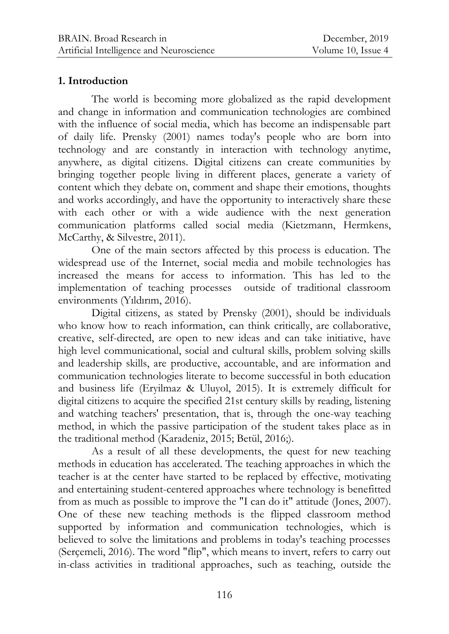# **1. Introduction**

The world is becoming more globalized as the rapid development and change in information and communication technologies are combined with the influence of social media, which has become an indispensable part of daily life. Prensky (2001) names today's people who are born into technology and are constantly in interaction with technology anytime, anywhere, as digital citizens. Digital citizens can create communities by bringing together people living in different places, generate a variety of content which they debate on, comment and shape their emotions, thoughts and works accordingly, and have the opportunity to interactively share these with each other or with a wide audience with the next generation communication platforms called social media (Kietzmann, Hermkens, McCarthy, & Silvestre, 2011).

One of the main sectors affected by this process is education. The widespread use of the Internet, social media and mobile technologies has increased the means for access to information. This has led to the implementation of teaching processes outside of traditional classroom environments (Yıldırım, 2016).

Digital citizens, as stated by Prensky (2001), should be individuals who know how to reach information, can think critically, are collaborative, creative, self-directed, are open to new ideas and can take initiative, have high level communicational, social and cultural skills, problem solving skills and leadership skills, are productive, accountable, and are information and communication technologies literate to become successful in both education and business life (Eryilmaz & Uluyol, 2015). It is extremely difficult for digital citizens to acquire the specified 21st century skills by reading, listening and watching teachers' presentation, that is, through the one-way teaching method, in which the passive participation of the student takes place as in the traditional method (Karadeniz, 2015; Betül, 2016;).

As a result of all these developments, the quest for new teaching methods in education has accelerated. The teaching approaches in which the teacher is at the center have started to be replaced by effective, motivating and entertaining student-centered approaches where technology is benefitted from as much as possible to improve the "I can do it" attitude (Jones, 2007). One of these new teaching methods is the flipped classroom method supported by information and communication technologies, which is believed to solve the limitations and problems in today's teaching processes (Serçemeli, 2016). The word "flip", which means to invert, refers to carry out in-class activities in traditional approaches, such as teaching, outside the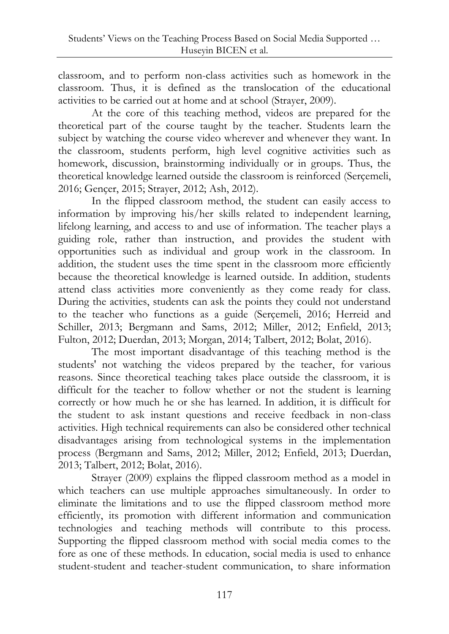classroom, and to perform non-class activities such as homework in the classroom. Thus, it is defined as the translocation of the educational activities to be carried out at home and at school (Strayer, 2009).

At the core of this teaching method, videos are prepared for the theoretical part of the course taught by the teacher. Students learn the subject by watching the course video wherever and whenever they want. In the classroom, students perform, high level cognitive activities such as homework, discussion, brainstorming individually or in groups. Thus, the theoretical knowledge learned outside the classroom is reinforced (Serçemeli, 2016; Gençer, 2015; Strayer, 2012; Ash, 2012).

In the flipped classroom method, the student can easily access to information by improving his/her skills related to independent learning, lifelong learning, and access to and use of information. The teacher plays a guiding role, rather than instruction, and provides the student with opportunities such as individual and group work in the classroom. In addition, the student uses the time spent in the classroom more efficiently because the theoretical knowledge is learned outside. In addition, students attend class activities more conveniently as they come ready for class. During the activities, students can ask the points they could not understand to the teacher who functions as a guide (Serçemeli, 2016; Herreid and Schiller, 2013; Bergmann and Sams, 2012; Miller, 2012; Enfield, 2013; Fulton, 2012; Duerdan, 2013; Morgan, 2014; Talbert, 2012; Bolat, 2016).

The most important disadvantage of this teaching method is the students' not watching the videos prepared by the teacher, for various reasons. Since theoretical teaching takes place outside the classroom, it is difficult for the teacher to follow whether or not the student is learning correctly or how much he or she has learned. In addition, it is difficult for the student to ask instant questions and receive feedback in non-class activities. High technical requirements can also be considered other technical disadvantages arising from technological systems in the implementation process (Bergmann and Sams, 2012; Miller, 2012; Enfield, 2013; Duerdan, 2013; Talbert, 2012; Bolat, 2016).

Strayer (2009) explains the flipped classroom method as a model in which teachers can use multiple approaches simultaneously. In order to eliminate the limitations and to use the flipped classroom method more efficiently, its promotion with different information and communication technologies and teaching methods will contribute to this process. Supporting the flipped classroom method with social media comes to the fore as one of these methods. In education, social media is used to enhance student-student and teacher-student communication, to share information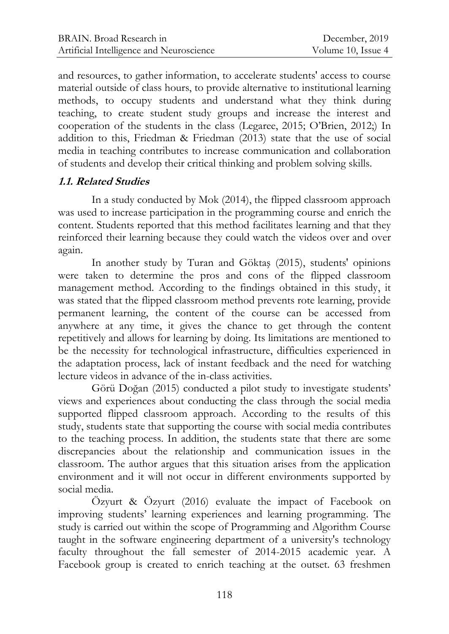and resources, to gather information, to accelerate students' access to course material outside of class hours, to provide alternative to institutional learning methods, to occupy students and understand what they think during teaching, to create student study groups and increase the interest and cooperation of the students in the class (Legaree, 2015; O"Brien, 2012;) In addition to this, Friedman & Friedman (2013) state that the use of social media in teaching contributes to increase communication and collaboration of students and develop their critical thinking and problem solving skills.

# **1.1. Related Studies**

In a study conducted by Mok (2014), the flipped classroom approach was used to increase participation in the programming course and enrich the content. Students reported that this method facilitates learning and that they reinforced their learning because they could watch the videos over and over again.

In another study by Turan and Göktaş (2015), students' opinions were taken to determine the pros and cons of the flipped classroom management method. According to the findings obtained in this study, it was stated that the flipped classroom method prevents rote learning, provide permanent learning, the content of the course can be accessed from anywhere at any time, it gives the chance to get through the content repetitively and allows for learning by doing. Its limitations are mentioned to be the necessity for technological infrastructure, difficulties experienced in the adaptation process, lack of instant feedback and the need for watching lecture videos in advance of the in-class activities.

Görü Doğan (2015) conducted a pilot study to investigate students" views and experiences about conducting the class through the social media supported flipped classroom approach. According to the results of this study, students state that supporting the course with social media contributes to the teaching process. In addition, the students state that there are some discrepancies about the relationship and communication issues in the classroom. The author argues that this situation arises from the application environment and it will not occur in different environments supported by social media.

Özyurt & Özyurt (2016) evaluate the impact of Facebook on improving students" learning experiences and learning programming. The study is carried out within the scope of Programming and Algorithm Course taught in the software engineering department of a university's technology faculty throughout the fall semester of 2014-2015 academic year. A Facebook group is created to enrich teaching at the outset. 63 freshmen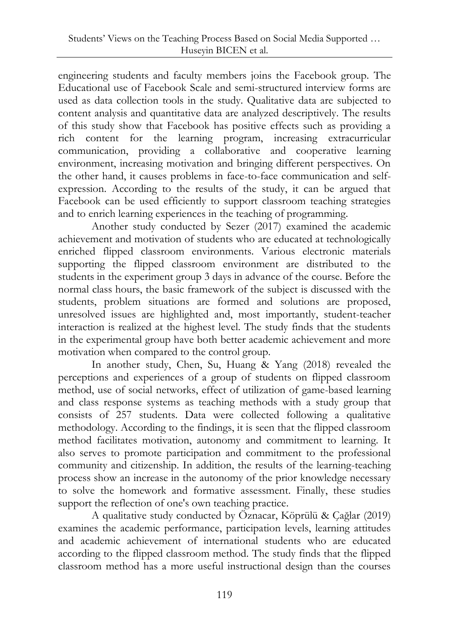engineering students and faculty members joins the Facebook group. The Educational use of Facebook Scale and semi-structured interview forms are used as data collection tools in the study. Qualitative data are subjected to content analysis and quantitative data are analyzed descriptively. The results of this study show that Facebook has positive effects such as providing a rich content for the learning program, increasing extracurricular communication, providing a collaborative and cooperative learning environment, increasing motivation and bringing different perspectives. On the other hand, it causes problems in face-to-face communication and selfexpression. According to the results of the study, it can be argued that Facebook can be used efficiently to support classroom teaching strategies and to enrich learning experiences in the teaching of programming.

Another study conducted by Sezer (2017) examined the academic achievement and motivation of students who are educated at technologically enriched flipped classroom environments. Various electronic materials supporting the flipped classroom environment are distributed to the students in the experiment group 3 days in advance of the course. Before the normal class hours, the basic framework of the subject is discussed with the students, problem situations are formed and solutions are proposed, unresolved issues are highlighted and, most importantly, student-teacher interaction is realized at the highest level. The study finds that the students in the experimental group have both better academic achievement and more motivation when compared to the control group.

In another study, Chen, Su, Huang & Yang (2018) revealed the perceptions and experiences of a group of students on flipped classroom method, use of social networks, effect of utilization of game-based learning and class response systems as teaching methods with a study group that consists of 257 students. Data were collected following a qualitative methodology. According to the findings, it is seen that the flipped classroom method facilitates motivation, autonomy and commitment to learning. It also serves to promote participation and commitment to the professional community and citizenship. In addition, the results of the learning-teaching process show an increase in the autonomy of the prior knowledge necessary to solve the homework and formative assessment. Finally, these studies support the reflection of one's own teaching practice.

A qualitative study conducted by Öznacar, Köprülü & Çağlar (2019) examines the academic performance, participation levels, learning attitudes and academic achievement of international students who are educated according to the flipped classroom method. The study finds that the flipped classroom method has a more useful instructional design than the courses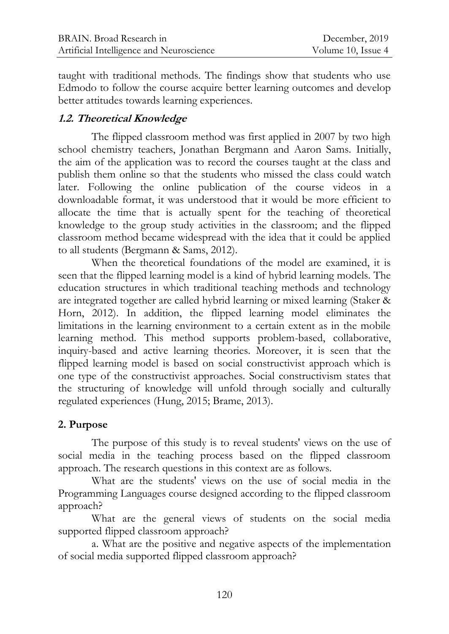taught with traditional methods. The findings show that students who use Edmodo to follow the course acquire better learning outcomes and develop better attitudes towards learning experiences.

# **1.2. Theoretical Knowledge**

The flipped classroom method was first applied in 2007 by two high school chemistry teachers, Jonathan Bergmann and Aaron Sams. Initially, the aim of the application was to record the courses taught at the class and publish them online so that the students who missed the class could watch later. Following the online publication of the course videos in a downloadable format, it was understood that it would be more efficient to allocate the time that is actually spent for the teaching of theoretical knowledge to the group study activities in the classroom; and the flipped classroom method became widespread with the idea that it could be applied to all students (Bergmann & Sams, 2012).

When the theoretical foundations of the model are examined, it is seen that the flipped learning model is a kind of hybrid learning models. The education structures in which traditional teaching methods and technology are integrated together are called hybrid learning or mixed learning (Staker & Horn, 2012). In addition, the flipped learning model eliminates the limitations in the learning environment to a certain extent as in the mobile learning method. This method supports problem-based, collaborative, inquiry-based and active learning theories. Moreover, it is seen that the flipped learning model is based on social constructivist approach which is one type of the constructivist approaches. Social constructivism states that the structuring of knowledge will unfold through socially and culturally regulated experiences (Hung, 2015; Brame, 2013).

# **2. Purpose**

The purpose of this study is to reveal students' views on the use of social media in the teaching process based on the flipped classroom approach. The research questions in this context are as follows.

What are the students' views on the use of social media in the Programming Languages course designed according to the flipped classroom approach?

What are the general views of students on the social media supported flipped classroom approach?

a. What are the positive and negative aspects of the implementation of social media supported flipped classroom approach?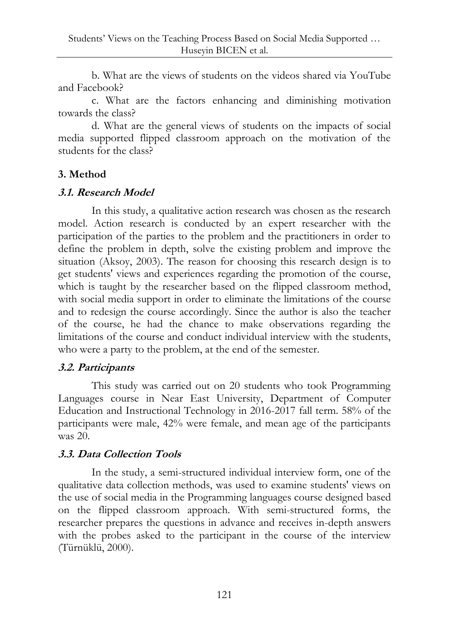b. What are the views of students on the videos shared via YouTube and Facebook?

c. What are the factors enhancing and diminishing motivation towards the class?

d. What are the general views of students on the impacts of social media supported flipped classroom approach on the motivation of the students for the class?

# **3. Method**

# **3.1. Research Model**

In this study, a qualitative action research was chosen as the research model. Action research is conducted by an expert researcher with the participation of the parties to the problem and the practitioners in order to define the problem in depth, solve the existing problem and improve the situation (Aksoy, 2003). The reason for choosing this research design is to get students' views and experiences regarding the promotion of the course, which is taught by the researcher based on the flipped classroom method, with social media support in order to eliminate the limitations of the course and to redesign the course accordingly. Since the author is also the teacher of the course, he had the chance to make observations regarding the limitations of the course and conduct individual interview with the students, who were a party to the problem, at the end of the semester.

# **3.2. Participants**

This study was carried out on 20 students who took Programming Languages course in Near East University, Department of Computer Education and Instructional Technology in 2016-2017 fall term. 58% of the participants were male, 42% were female, and mean age of the participants was 20.

# **3.3. Data Collection Tools**

In the study, a semi-structured individual interview form, one of the qualitative data collection methods, was used to examine students' views on the use of social media in the Programming languages course designed based on the flipped classroom approach. With semi-structured forms, the researcher prepares the questions in advance and receives in-depth answers with the probes asked to the participant in the course of the interview (Türnüklü, 2000).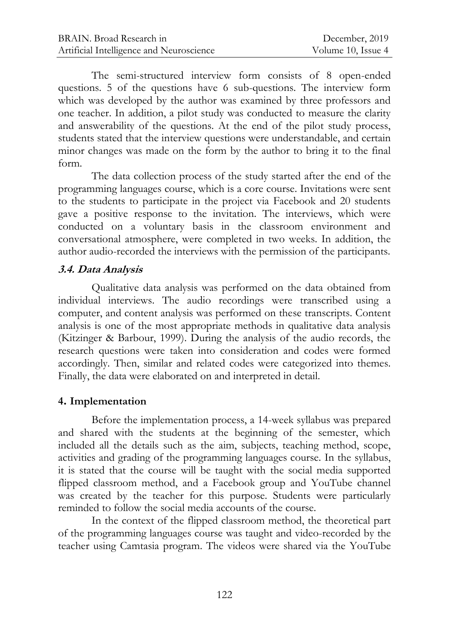The semi-structured interview form consists of 8 open-ended questions. 5 of the questions have 6 sub-questions. The interview form which was developed by the author was examined by three professors and one teacher. In addition, a pilot study was conducted to measure the clarity and answerability of the questions. At the end of the pilot study process, students stated that the interview questions were understandable, and certain minor changes was made on the form by the author to bring it to the final form.

The data collection process of the study started after the end of the programming languages course, which is a core course. Invitations were sent to the students to participate in the project via Facebook and 20 students gave a positive response to the invitation. The interviews, which were conducted on a voluntary basis in the classroom environment and conversational atmosphere, were completed in two weeks. In addition, the author audio-recorded the interviews with the permission of the participants.

# **3.4. Data Analysis**

Qualitative data analysis was performed on the data obtained from individual interviews. The audio recordings were transcribed using a computer, and content analysis was performed on these transcripts. Content analysis is one of the most appropriate methods in qualitative data analysis (Kitzinger & Barbour, 1999). During the analysis of the audio records, the research questions were taken into consideration and codes were formed accordingly. Then, similar and related codes were categorized into themes. Finally, the data were elaborated on and interpreted in detail.

# **4. Implementation**

Before the implementation process, a 14-week syllabus was prepared and shared with the students at the beginning of the semester, which included all the details such as the aim, subjects, teaching method, scope, activities and grading of the programming languages course. In the syllabus, it is stated that the course will be taught with the social media supported flipped classroom method, and a Facebook group and YouTube channel was created by the teacher for this purpose. Students were particularly reminded to follow the social media accounts of the course.

In the context of the flipped classroom method, the theoretical part of the programming languages course was taught and video-recorded by the teacher using Camtasia program. The videos were shared via the YouTube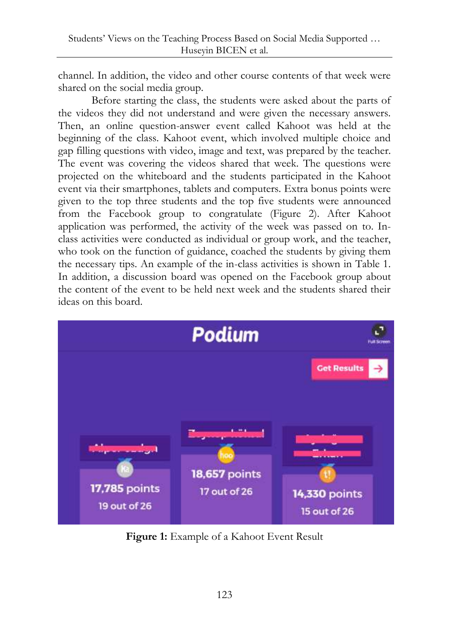channel. In addition, the video and other course contents of that week were shared on the social media group.

Before starting the class, the students were asked about the parts of the videos they did not understand and were given the necessary answers. Then, an online question-answer event called Kahoot was held at the beginning of the class. Kahoot event, which involved multiple choice and gap filling questions with video, image and text, was prepared by the teacher. The event was covering the videos shared that week. The questions were projected on the whiteboard and the students participated in the Kahoot event via their smartphones, tablets and computers. Extra bonus points were given to the top three students and the top five students were announced from the Facebook group to congratulate (Figure 2). After Kahoot application was performed, the activity of the week was passed on to. Inclass activities were conducted as individual or group work, and the teacher, who took on the function of guidance, coached the students by giving them the necessary tips. An example of the in-class activities is shown in Table 1. In addition, a discussion board was opened on the Facebook group about the content of the event to be held next week and the students shared their ideas on this board.



**Figure 1:** Example of a Kahoot Event Result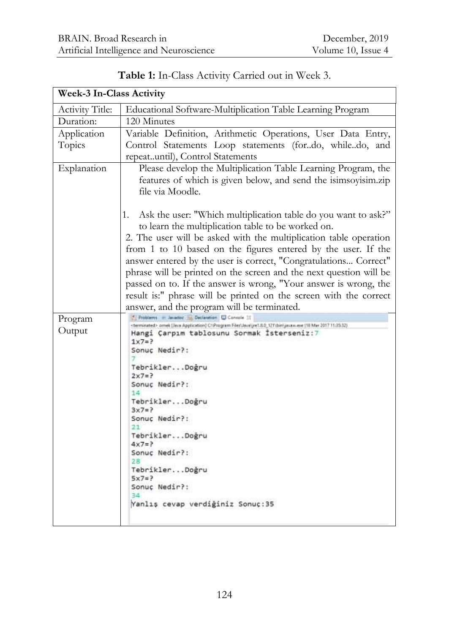| <b>Week-3 In-Class Activity</b> |                                                                                                                                                                                                                                 |  |  |
|---------------------------------|---------------------------------------------------------------------------------------------------------------------------------------------------------------------------------------------------------------------------------|--|--|
| <b>Activity Title:</b>          | Educational Software-Multiplication Table Learning Program                                                                                                                                                                      |  |  |
| Duration:                       | 120 Minutes                                                                                                                                                                                                                     |  |  |
| Application<br>Topics           | Variable Definition, Arithmetic Operations, User Data Entry,<br>Control Statements Loop statements (fordo, whiledo, and<br>repeatuntil), Control Statements                                                                     |  |  |
| Explanation                     | Please develop the Multiplication Table Learning Program, the<br>features of which is given below, and send the isimsoyisim.zip<br>file via Moodle.                                                                             |  |  |
|                                 | Ask the user: "Which multiplication table do you want to ask?"<br>1.<br>to learn the multiplication table to be worked on.<br>2. The user will be asked with the multiplication table operation                                 |  |  |
|                                 | from 1 to 10 based on the figures entered by the user. If the<br>answer entered by the user is correct, "Congratulations Correct"                                                                                               |  |  |
|                                 | phrase will be printed on the screen and the next question will be<br>passed on to. If the answer is wrong, "Your answer is wrong, the<br>result is:" phrase will be printed on the screen with the correct                     |  |  |
|                                 | answer, and the program will be terminated.                                                                                                                                                                                     |  |  |
| Program<br>Output               | Problems - Javador 13 Declaration U Console 11<br><br>terminated> omek (Java Application) C:\Program Files\Java\pe1.8.0_12T\bin\javan.exe (18 Mar 2017 11:35.32)<br>Hangi Çarpım tablosunu Sormak İsterseniz:7<br>$1x7 = ?$<br> |  |  |

# **Table 1:** In-Class Activity Carried out in Week 3.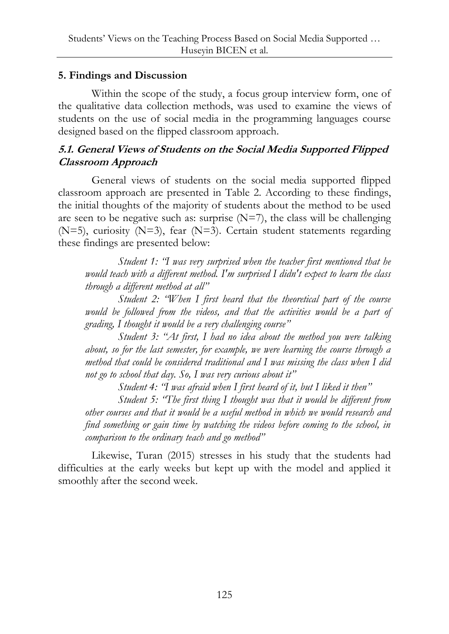# **5. Findings and Discussion**

Within the scope of the study, a focus group interview form, one of the qualitative data collection methods, was used to examine the views of students on the use of social media in the programming languages course designed based on the flipped classroom approach.

# **5.1. General Views of Students on the Social Media Supported Flipped Classroom Approach**

General views of students on the social media supported flipped classroom approach are presented in Table 2. According to these findings, the initial thoughts of the majority of students about the method to be used are seen to be negative such as: surprise  $(N=7)$ , the class will be challenging (N=5), curiosity (N=3), fear (N=3). Certain student statements regarding these findings are presented below:

*Student 1: "I was very surprised when the teacher first mentioned that he would teach with a different method. I'm surprised I didn't expect to learn the class through a different method at all"*

*Student 2: "When I first heard that the theoretical part of the course*  would be followed from the videos, and that the activities would be a part of *grading, I thought it would be a very challenging course"*

*Student 3: "At first, I had no idea about the method you were talking about, so for the last semester, for example, we were learning the course through a method that could be considered traditional and I was missing the class when I did not go to school that day. So, I was very curious about it"*

*Student 4: "I was afraid when I first heard of it, but I liked it then"*

*Student 5: "The first thing I thought was that it would be different from other courses and that it would be a useful method in which we would research and find something or gain time by watching the videos before coming to the school, in comparison to the ordinary teach and go method"*

Likewise, Turan (2015) stresses in his study that the students had difficulties at the early weeks but kept up with the model and applied it smoothly after the second week.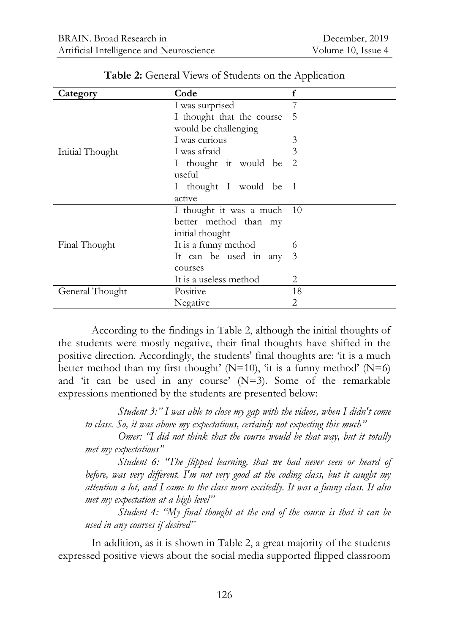| Category        | Code                       | $\mathbf f$ |
|-----------------|----------------------------|-------------|
|                 | I was surprised            | 7           |
|                 | I thought that the course  | 5           |
|                 | would be challenging       |             |
|                 | I was curious              | 3           |
| Initial Thought | I was afraid               | 3           |
|                 | I thought it would be 2    |             |
|                 | useful                     |             |
|                 | I thought I would be 1     |             |
|                 | active                     |             |
|                 | I thought it was a much 10 |             |
|                 | better method than my      |             |
|                 | initial thought            |             |
| Final Thought   | It is a funny method       | O           |
|                 | It can be used in any      | 3           |
|                 | courses                    |             |
|                 | It is a useless method     | 2           |
| General Thought | Positive                   | 18          |
|                 | Negative                   | 2           |

**Table 2:** General Views of Students on the Application

According to the findings in Table 2, although the initial thoughts of the students were mostly negative, their final thoughts have shifted in the positive direction. Accordingly, the students' final thoughts are: "it is a much better method than my first thought' ( $N=10$ ), 'it is a funny method' ( $N=6$ ) and 'it can be used in any course' (N=3). Some of the remarkable expressions mentioned by the students are presented below:

*Student 3:" I was able to close my gap with the videos, when I didn't come to class. So, it was above my expectations, certainly not expecting this much"*

*Omer: "I did not think that the course would be that way, but it totally met my expectations"*

*Student 6: "The flipped learning, that we had never seen or heard of before, was very different. I'm not very good at the coding class, but it caught my attention a lot, and I came to the class more excitedly. It was a funny class. It also met my expectation at a high level"*

*Student 4: "My final thought at the end of the course is that it can be used in any courses if desired"*

In addition, as it is shown in Table 2, a great majority of the students expressed positive views about the social media supported flipped classroom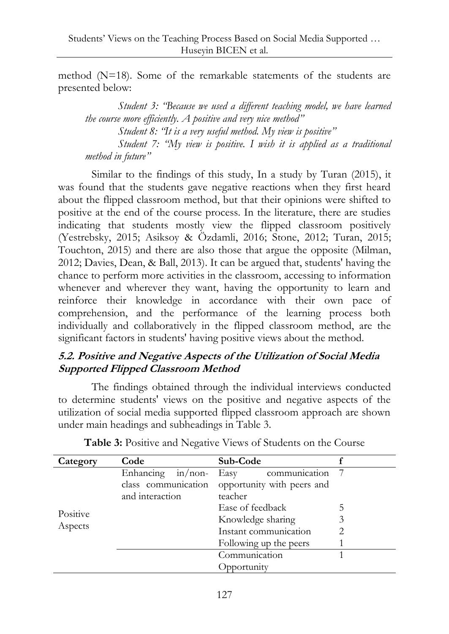method (N=18). Some of the remarkable statements of the students are presented below:

*Student 3: "Because we used a different teaching model, we have learned the course more efficiently. A positive and very nice method" Student 8: "It is a very useful method. My view is positive"*

*Student 7: "My view is positive. I wish it is applied as a traditional method in future"*

Similar to the findings of this study, In a study by Turan (2015), it was found that the students gave negative reactions when they first heard about the flipped classroom method, but that their opinions were shifted to positive at the end of the course process. In the literature, there are studies indicating that students mostly view the flipped classroom positively (Yestrebsky, 2015; Asiksoy & Özdamli, 2016; Stone, 2012; Turan, 2015; Touchton, 2015) and there are also those that argue the opposite (Milman, 2012; Davies, Dean, & Ball, 2013). It can be argued that, students' having the chance to perform more activities in the classroom, accessing to information whenever and wherever they want, having the opportunity to learn and reinforce their knowledge in accordance with their own pace of comprehension, and the performance of the learning process both individually and collaboratively in the flipped classroom method, are the significant factors in students' having positive views about the method.

# **5.2. Positive and Negative Aspects of the Utilization of Social Media Supported Flipped Classroom Method**

The findings obtained through the individual interviews conducted to determine students' views on the positive and negative aspects of the utilization of social media supported flipped classroom approach are shown under main headings and subheadings in Table 3.

| Category            | Code                 | Sub-Code                   |   |
|---------------------|----------------------|----------------------------|---|
|                     | Enhancing $in/$ non- | communication<br>Easy      |   |
| Positive<br>Aspects | class communication  | opportunity with peers and |   |
|                     | and interaction      | teacher                    |   |
|                     |                      | Ease of feedback           | 5 |
|                     |                      | Knowledge sharing          |   |
|                     |                      | Instant communication      |   |
|                     |                      | Following up the peers     |   |
|                     |                      | Communication              |   |
|                     |                      | Opportunity                |   |

**Table 3:** Positive and Negative Views of Students on the Course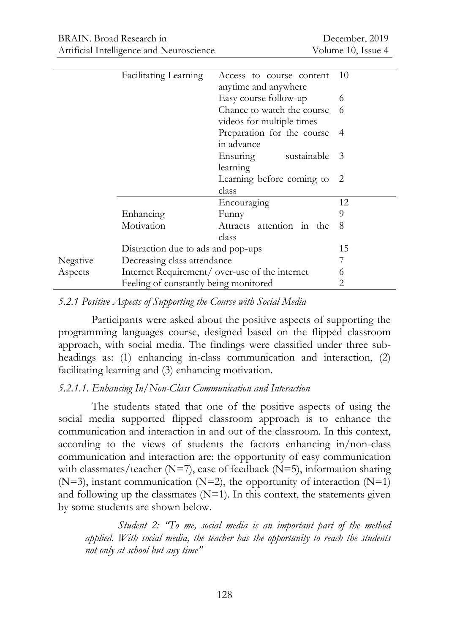|          | Facilitating Learning                 | Access to course content<br>anytime and anywhere        | 10 |
|----------|---------------------------------------|---------------------------------------------------------|----|
|          |                                       | Easy course follow-up                                   | 6  |
|          |                                       | Chance to watch the course<br>videos for multiple times | 6  |
|          |                                       | Preparation for the course<br>in advance                | 4  |
|          |                                       | sustainable<br>Ensuring<br>learning                     | -3 |
|          |                                       | Learning before coming to 2<br>class                    |    |
|          |                                       | Encouraging                                             | 12 |
|          | Enhancing                             | Funny                                                   | 9  |
|          | Motivation                            | Attracts attention in the<br>class                      | 8  |
|          | Distraction due to ads and pop-ups    |                                                         | 15 |
| Negative | Decreasing class attendance           |                                                         |    |
| Aspects  |                                       | Internet Requirement/ over-use of the internet          | 6  |
|          | Feeling of constantly being monitored |                                                         | 2  |

#### *5.2.1 Positive Aspects of Supporting the Course with Social Media*

Participants were asked about the positive aspects of supporting the programming languages course, designed based on the flipped classroom approach, with social media. The findings were classified under three subheadings as: (1) enhancing in-class communication and interaction, (2) facilitating learning and (3) enhancing motivation.

#### *5.2.1.1. Enhancing In/Non-Class Communication and Interaction*

The students stated that one of the positive aspects of using the social media supported flipped classroom approach is to enhance the communication and interaction in and out of the classroom. In this context, according to the views of students the factors enhancing in/non-class communication and interaction are: the opportunity of easy communication with classmates/teacher ( $N=7$ ), ease of feedback ( $N=5$ ), information sharing  $(N=3)$ , instant communication  $(N=2)$ , the opportunity of interaction  $(N=1)$ and following up the classmates  $(N=1)$ . In this context, the statements given by some students are shown below.

*Student 2: "To me, social media is an important part of the method applied. With social media, the teacher has the opportunity to reach the students not only at school but any time"*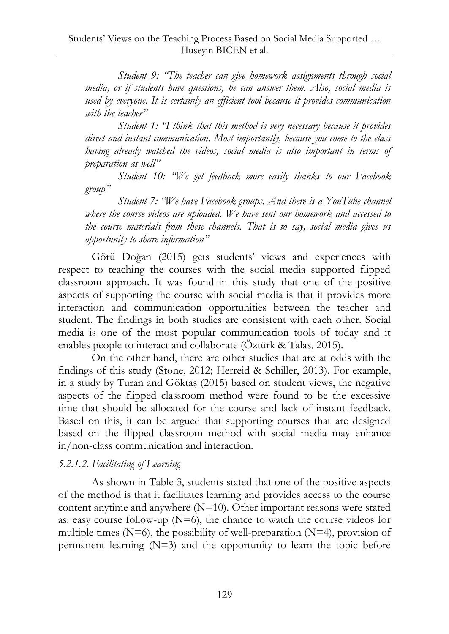*Student 9: "The teacher can give homework assignments through social media, or if students have questions, he can answer them. Also, social media is used by everyone. It is certainly an efficient tool because it provides communication with the teacher"*

*Student 1: "I think that this method is very necessary because it provides direct and instant communication. Most importantly, because you come to the class having already watched the videos, social media is also important in terms of preparation as well"*

*Student 10: "We get feedback more easily thanks to our Facebook group"*

*Student 7: "We have Facebook groups. And there is a YouTube channel where the course videos are uploaded. We have sent our homework and accessed to the course materials from these channels. That is to say, social media gives us opportunity to share information"*

Görü Doğan (2015) gets students" views and experiences with respect to teaching the courses with the social media supported flipped classroom approach. It was found in this study that one of the positive aspects of supporting the course with social media is that it provides more interaction and communication opportunities between the teacher and student. The findings in both studies are consistent with each other. Social media is one of the most popular communication tools of today and it enables people to interact and collaborate (Öztürk & Talas, 2015).

On the other hand, there are other studies that are at odds with the findings of this study (Stone, 2012; Herreid & Schiller, 2013). For example, in a study by Turan and Göktaş (2015) based on student views, the negative aspects of the flipped classroom method were found to be the excessive time that should be allocated for the course and lack of instant feedback. Based on this, it can be argued that supporting courses that are designed based on the flipped classroom method with social media may enhance in/non-class communication and interaction.

# *5.2.1.2. Facilitating of Learning*

As shown in Table 3, students stated that one of the positive aspects of the method is that it facilitates learning and provides access to the course content anytime and anywhere  $(N=10)$ . Other important reasons were stated as: easy course follow-up  $(N=6)$ , the chance to watch the course videos for multiple times  $(N=6)$ , the possibility of well-preparation  $(N=4)$ , provision of permanent learning  $(N=3)$  and the opportunity to learn the topic before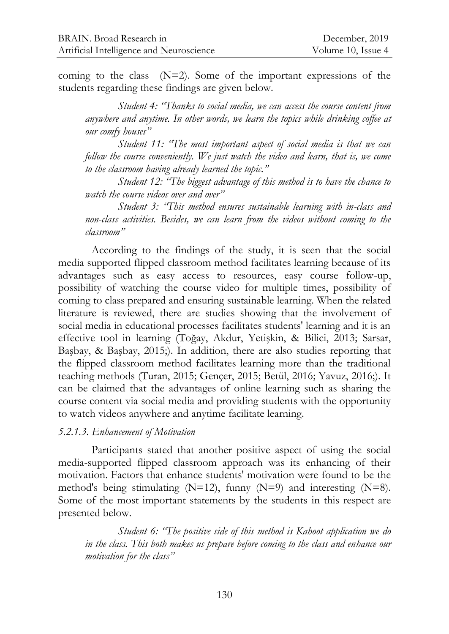coming to the class (N=2). Some of the important expressions of the students regarding these findings are given below.

*Student 4: "Thanks to social media, we can access the course content from anywhere and anytime. In other words, we learn the topics while drinking coffee at our comfy houses"*

*Student 11: "The most important aspect of social media is that we can follow the course conveniently. We just watch the video and learn, that is, we come to the classroom having already learned the topic."*

*Student 12: "The biggest advantage of this method is to have the chance to watch the course videos over and over"*

*Student 3: "This method ensures sustainable learning with in-class and non-class activities. Besides, we can learn from the videos without coming to the classroom"*

According to the findings of the study, it is seen that the social media supported flipped classroom method facilitates learning because of its advantages such as easy access to resources, easy course follow-up, possibility of watching the course video for multiple times, possibility of coming to class prepared and ensuring sustainable learning. When the related literature is reviewed, there are studies showing that the involvement of social media in educational processes facilitates students' learning and it is an effective tool in learning (Toğay, Akdur, Yetişkin, & Bilici, 2013; Sarsar, Başbay, & Başbay, 2015;). In addition, there are also studies reporting that the flipped classroom method facilitates learning more than the traditional teaching methods (Turan, 2015; Gençer, 2015; Betül, 2016; Yavuz, 2016;). It can be claimed that the advantages of online learning such as sharing the course content via social media and providing students with the opportunity to watch videos anywhere and anytime facilitate learning.

#### *5.2.1.3. Enhancement of Motivation*

Participants stated that another positive aspect of using the social media-supported flipped classroom approach was its enhancing of their motivation. Factors that enhance students' motivation were found to be the method's being stimulating  $(N=12)$ , funny  $(N=9)$  and interesting  $(N=8)$ . Some of the most important statements by the students in this respect are presented below.

*Student 6: "The positive side of this method is Kahoot application we do in the class. This both makes us prepare before coming to the class and enhance our motivation for the class"*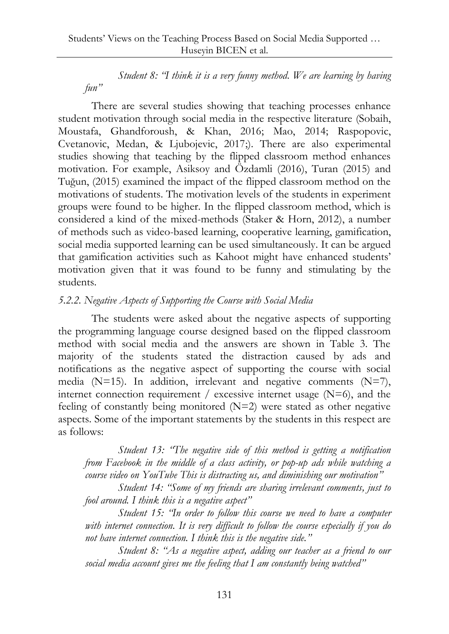*Student 8: "I think it is a very funny method. We are learning by having fun"*

There are several studies showing that teaching processes enhance student motivation through social media in the respective literature (Sobaih, Moustafa, Ghandforoush, & Khan, 2016; Mao, 2014; Raspopovic, Cvetanovic, Medan, & Ljubojevic, 2017;). There are also experimental studies showing that teaching by the flipped classroom method enhances motivation. For example, Asiksoy and Özdamli (2016), Turan (2015) and Tuğun, (2015) examined the impact of the flipped classroom method on the motivations of students. The motivation levels of the students in experiment groups were found to be higher. In the flipped classroom method, which is considered a kind of the mixed-methods (Staker & Horn, 2012), a number of methods such as video-based learning, cooperative learning, gamification, social media supported learning can be used simultaneously. It can be argued that gamification activities such as Kahoot might have enhanced students' motivation given that it was found to be funny and stimulating by the students.

#### *5.2.2. Negative Aspects of Supporting the Course with Social Media*

The students were asked about the negative aspects of supporting the programming language course designed based on the flipped classroom method with social media and the answers are shown in Table 3. The majority of the students stated the distraction caused by ads and notifications as the negative aspect of supporting the course with social media ( $N=15$ ). In addition, irrelevant and negative comments ( $N=7$ ), internet connection requirement / excessive internet usage  $(N=6)$ , and the feeling of constantly being monitored  $(N=2)$  were stated as other negative aspects. Some of the important statements by the students in this respect are as follows:

*Student 13: "The negative side of this method is getting a notification from Facebook in the middle of a class activity, or pop-up ads while watching a course video on YouTube This is distracting us, and diminishing our motivation"*

*Student 14: "Some of my friends are sharing irrelevant comments, just to fool around. I think this is a negative aspect"*

*Student 15: "In order to follow this course we need to have a computer with internet connection. It is very difficult to follow the course especially if you do not have internet connection. I think this is the negative side."*

*Student 8: "As a negative aspect, adding our teacher as a friend to our social media account gives me the feeling that I am constantly being watched"*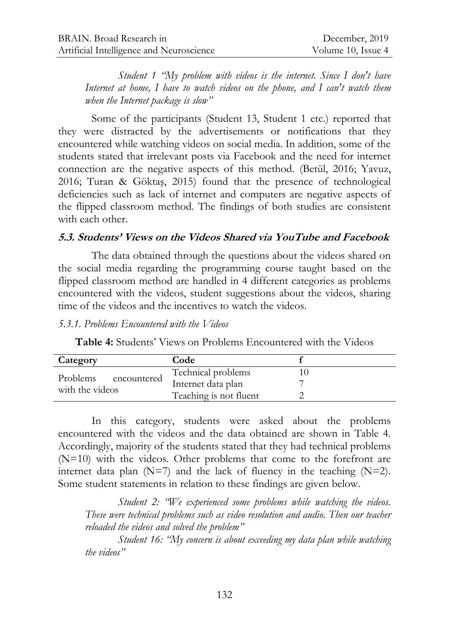*Student 1 "My problem with videos is the internet. Since I don't have Internet at home, I have to watch videos on the phone, and I can't watch them when the Internet package is slow"*

Some of the participants (Student 13, Student 1 etc.) reported that they were distracted by the advertisements or notifications that they encountered while watching videos on social media. In addition, some of the students stated that irrelevant posts via Facebook and the need for internet connection are the negative aspects of this method. (Betül, 2016; Yavuz, 2016; Turan & Göktaş, 2015) found that the presence of technological deficiencies such as lack of internet and computers are negative aspects of the flipped classroom method. The findings of both studies are consistent with each other.

#### **5.3. Students' Views on the Videos Shared via YouTube and Facebook**

The data obtained through the questions about the videos shared on the social media regarding the programming course taught based on the flipped classroom method are handled in 4 different categories as problems encountered with the videos, student suggestions about the videos, sharing time of the videos and the incentives to watch the videos.

*5.3.1. Problems Encountered with the Videos*

**Table 4:** Students' Views on Problems Encountered with the Videos

| Category        |             | Code                   |  |
|-----------------|-------------|------------------------|--|
| Problems        | encountered | Technical problems     |  |
| with the videos |             | Internet data plan     |  |
|                 |             | Teaching is not fluent |  |

In this category, students were asked about the problems encountered with the videos and the data obtained are shown in Table 4. Accordingly, majority of the students stated that they had technical problems (N=10) with the videos. Other problems that come to the forefront are internet data plan  $(N=7)$  and the lack of fluency in the teaching  $(N=2)$ . Some student statements in relation to these findings are given below.

*Student 2: "We experienced some problems while watching the videos. These were technical problems such as video resolution and audio. Then our teacher reloaded the videos and solved the problem"*

*Student 16: "My concern is about exceeding my data plan while watching the videos"*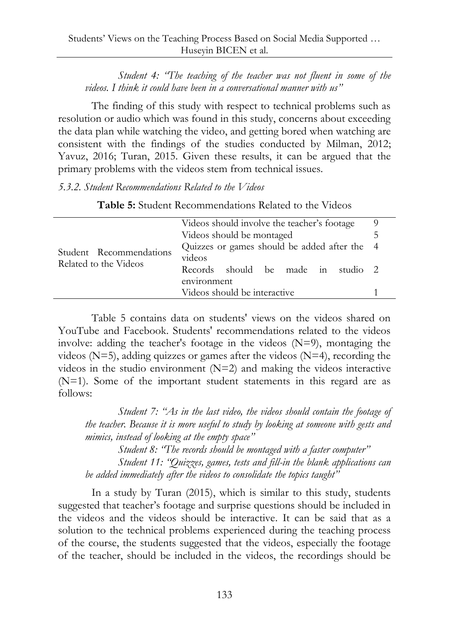*Student 4: "The teaching of the teacher was not fluent in some of the videos. I think it could have been in a conversational manner with us"*

The finding of this study with respect to technical problems such as resolution or audio which was found in this study, concerns about exceeding the data plan while watching the video, and getting bored when watching are consistent with the findings of the studies conducted by Milman, 2012; Yavuz, 2016; Turan, 2015. Given these results, it can be argued that the primary problems with the videos stem from technical issues.

*5.3.2. Student Recommendations Related to the Videos* 

| Student Recommendations<br>Related to the Videos | Videos should involve the teacher's footage  | 9 |
|--------------------------------------------------|----------------------------------------------|---|
|                                                  | Videos should be montaged                    |   |
|                                                  | Quizzes or games should be added after the 4 |   |
|                                                  | videos                                       |   |
|                                                  | Records should be made in studio 2           |   |
|                                                  | environment                                  |   |
|                                                  | Videos should be interactive                 |   |

**Table 5:** Student Recommendations Related to the Videos

Table 5 contains data on students' views on the videos shared on YouTube and Facebook. Students' recommendations related to the videos involve: adding the teacher's footage in the videos (N=9), montaging the videos ( $N=5$ ), adding quizzes or games after the videos ( $N=4$ ), recording the videos in the studio environment (N=2) and making the videos interactive (N=1). Some of the important student statements in this regard are as follows:

*Student 7: "As in the last video, the videos should contain the footage of the teacher. Because it is more useful to study by looking at someone with gests and mimics, instead of looking at the empty space"* 

*Student 8: "The records should be montaged with a faster computer" Student 11: "Quizzes, games, tests and fill-in the blank applications can be added immediately after the videos to consolidate the topics taught"*

In a study by Turan (2015), which is similar to this study, students suggested that teacher"s footage and surprise questions should be included in the videos and the videos should be interactive. It can be said that as a solution to the technical problems experienced during the teaching process of the course, the students suggested that the videos, especially the footage of the teacher, should be included in the videos, the recordings should be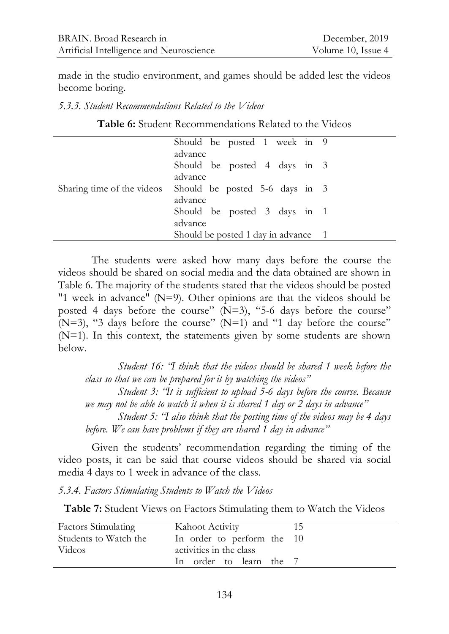made in the studio environment, and games should be added lest the videos become boring.

*5.3.3. Student Recommendations Related to the Videos* 

**Table 6:** Student Recommendations Related to the Videos

|  | Should be posted 1 week in 9                                         |
|--|----------------------------------------------------------------------|
|  | advance<br>Should be posted 4 days in 3                              |
|  | advance<br>Sharing time of the videos Should be posted 5-6 days in 3 |
|  | advance<br>Should be posted 3 days in 1                              |
|  | advance                                                              |
|  | Should be posted 1 day in advance 1                                  |

The students were asked how many days before the course the videos should be shared on social media and the data obtained are shown in Table 6. The majority of the students stated that the videos should be posted "1 week in advance" (N=9). Other opinions are that the videos should be posted 4 days before the course" (N=3), "5-6 days before the course" ( $N=3$ ), "3 days before the course" ( $N=1$ ) and "1 day before the course" (N=1). In this context, the statements given by some students are shown below.

*Student 16: "I think that the videos should be shared 1 week before the class so that we can be prepared for it by watching the videos"*

*Student 3: "It is sufficient to upload 5-6 days before the course. Because we may not be able to watch it when it is shared 1 day or 2 days in advance"*

*Student 5: "I also think that the posting time of the videos may be 4 days before. We can have problems if they are shared 1 day in advance"*

Given the students" recommendation regarding the timing of the video posts, it can be said that course videos should be shared via social media 4 days to 1 week in advance of the class.

*5.3.4. Factors Stimulating Students to Watch the Videos*

**Table 7:** Student Views on Factors Stimulating them to Watch the Videos

| <b>Factors Stimulating</b> | Kahoot Activity            | 15 |
|----------------------------|----------------------------|----|
| Students to Watch the      | In order to perform the 10 |    |
| Videos                     | activities in the class    |    |
|                            | In order to learn the 7    |    |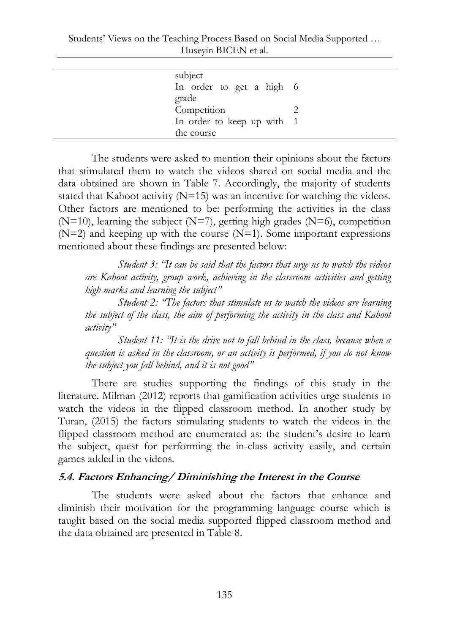Students" Views on the Teaching Process Based on Social Media Supported … Huseyin BICEN et al.

| subject                    |  |
|----------------------------|--|
| In order to get a high 6   |  |
| grade                      |  |
| Competition                |  |
| In order to keep up with 1 |  |
| the course                 |  |

The students were asked to mention their opinions about the factors that stimulated them to watch the videos shared on social media and the data obtained are shown in Table 7. Accordingly, the majority of students stated that Kahoot activity  $(N=15)$  was an incentive for watching the videos. Other factors are mentioned to be: performing the activities in the class  $(N=10)$ , learning the subject  $(N=7)$ , getting high grades  $(N=6)$ , competition  $(N=2)$  and keeping up with the course  $(N=1)$ . Some important expressions mentioned about these findings are presented below:

*Student 3: "It can be said that the factors that urge us to watch the videos are Kahoot activity, group work, achieving in the classroom activities and getting high marks and learning the subject"*

*Student 2: "The factors that stimulate us to watch the videos are learning the subject of the class, the aim of performing the activity in the class and Kahoot activity"*

*Student 11: "It is the drive not to fall behind in the class, because when a question is asked in the classroom, or an activity is performed, if you do not know the subject you fall behind, and it is not good"*

There are studies supporting the findings of this study in the literature. Milman (2012) reports that gamification activities urge students to watch the videos in the flipped classroom method. In another study by Turan, (2015) the factors stimulating students to watch the videos in the flipped classroom method are enumerated as: the student's desire to learn the subject, quest for performing the in-class activity easily, and certain games added in the videos.

# **5.4. Factors Enhancing/ Diminishing the Interest in the Course**

The students were asked about the factors that enhance and diminish their motivation for the programming language course which is taught based on the social media supported flipped classroom method and the data obtained are presented in Table 8.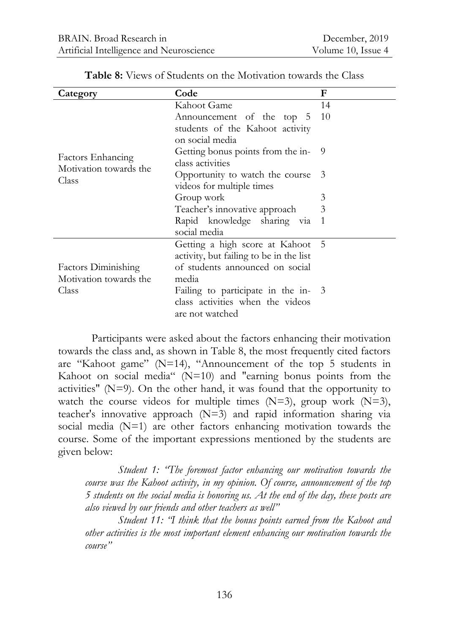| Category                   | Code                                    | F            |
|----------------------------|-----------------------------------------|--------------|
|                            | Kahoot Game                             | 14           |
|                            | Announcement of the top 5               | 10           |
|                            | students of the Kahoot activity         |              |
|                            | on social media                         |              |
| Factors Enhancing          | Getting bonus points from the in-       | 9            |
| Motivation towards the     | class activities                        |              |
| Class                      | Opportunity to watch the course         | -3           |
|                            | videos for multiple times               |              |
|                            | Group work                              | 3            |
|                            | Teacher's innovative approach           | 3            |
|                            | Rapid knowledge sharing via             | $\mathbf{1}$ |
|                            | social media                            |              |
|                            | Getting a high score at Kahoot 5        |              |
|                            | activity, but failing to be in the list |              |
| <b>Factors Diminishing</b> | of students announced on social         |              |
| Motivation towards the     | media                                   |              |
| Class                      | Failing to participate in the in- 3     |              |
|                            | class activities when the videos        |              |
|                            | are not watched                         |              |

**Table 8:** Views of Students on the Motivation towards the Class

Participants were asked about the factors enhancing their motivation towards the class and, as shown in Table 8, the most frequently cited factors are "Kahoot game" (N=14), "Announcement of the top 5 students in Kahoot on social media" (N=10) and "earning bonus points from the activities" (N=9). On the other hand, it was found that the opportunity to watch the course videos for multiple times  $(N=3)$ , group work  $(N=3)$ , teacher's innovative approach (N=3) and rapid information sharing via social media (N=1) are other factors enhancing motivation towards the course. Some of the important expressions mentioned by the students are given below:

*Student 1: "The foremost factor enhancing our motivation towards the course was the Kahoot activity, in my opinion. Of course, announcement of the top 5 students on the social media is honoring us. At the end of the day, these posts are also viewed by our friends and other teachers as well"*

*Student 11: "I think that the bonus points earned from the Kahoot and other activities is the most important element enhancing our motivation towards the course"*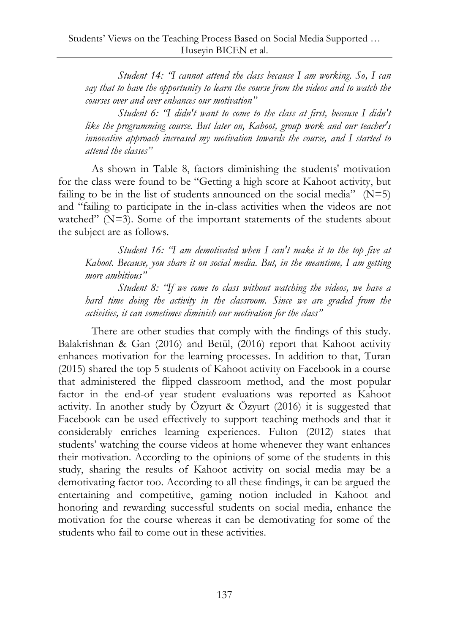*Student 14: "I cannot attend the class because I am working. So, I can say that to have the opportunity to learn the course from the videos and to watch the courses over and over enhances our motivation"*

*Student 6: "I didn't want to come to the class at first, because I didn't like the programming course. But later on, Kahoot, group work and our teacher's innovative approach increased my motivation towards the course, and I started to attend the classes"*

As shown in Table 8, factors diminishing the students' motivation for the class were found to be "Getting a high score at Kahoot activity, but failing to be in the list of students announced on the social media"  $(N=5)$ and "failing to participate in the in-class activities when the videos are not watched" (N=3). Some of the important statements of the students about the subject are as follows.

*Student 16: "I am demotivated when I can't make it to the top five at Kahoot. Because, you share it on social media. But, in the meantime, I am getting more ambitious"*

*Student 8: "If we come to class without watching the videos, we have a hard time doing the activity in the classroom. Since we are graded from the activities, it can sometimes diminish our motivation for the class"*

There are other studies that comply with the findings of this study. Balakrishnan & Gan (2016) and Betül, (2016) report that Kahoot activity enhances motivation for the learning processes. In addition to that, Turan (2015) shared the top 5 students of Kahoot activity on Facebook in a course that administered the flipped classroom method, and the most popular factor in the end-of year student evaluations was reported as Kahoot activity. In another study by Özyurt & Özyurt (2016) it is suggested that Facebook can be used effectively to support teaching methods and that it considerably enriches learning experiences. Fulton (2012) states that students" watching the course videos at home whenever they want enhances their motivation. According to the opinions of some of the students in this study, sharing the results of Kahoot activity on social media may be a demotivating factor too. According to all these findings, it can be argued the entertaining and competitive, gaming notion included in Kahoot and honoring and rewarding successful students on social media, enhance the motivation for the course whereas it can be demotivating for some of the students who fail to come out in these activities.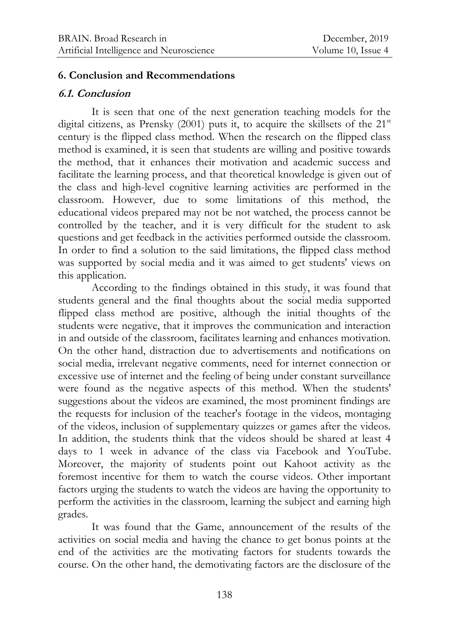#### **6. Conclusion and Recommendations**

### **6.1. Conclusion**

It is seen that one of the next generation teaching models for the digital citizens, as Prensky (2001) puts it, to acquire the skillsets of the  $21<sup>st</sup>$ century is the flipped class method. When the research on the flipped class method is examined, it is seen that students are willing and positive towards the method, that it enhances their motivation and academic success and facilitate the learning process, and that theoretical knowledge is given out of the class and high-level cognitive learning activities are performed in the classroom. However, due to some limitations of this method, the educational videos prepared may not be not watched, the process cannot be controlled by the teacher, and it is very difficult for the student to ask questions and get feedback in the activities performed outside the classroom. In order to find a solution to the said limitations, the flipped class method was supported by social media and it was aimed to get students' views on this application.

According to the findings obtained in this study, it was found that students general and the final thoughts about the social media supported flipped class method are positive, although the initial thoughts of the students were negative, that it improves the communication and interaction in and outside of the classroom, facilitates learning and enhances motivation. On the other hand, distraction due to advertisements and notifications on social media, irrelevant negative comments, need for internet connection or excessive use of internet and the feeling of being under constant surveillance were found as the negative aspects of this method. When the students' suggestions about the videos are examined, the most prominent findings are the requests for inclusion of the teacher's footage in the videos, montaging of the videos, inclusion of supplementary quizzes or games after the videos. In addition, the students think that the videos should be shared at least 4 days to 1 week in advance of the class via Facebook and YouTube. Moreover, the majority of students point out Kahoot activity as the foremost incentive for them to watch the course videos. Other important factors urging the students to watch the videos are having the opportunity to perform the activities in the classroom, learning the subject and earning high grades.

It was found that the Game, announcement of the results of the activities on social media and having the chance to get bonus points at the end of the activities are the motivating factors for students towards the course. On the other hand, the demotivating factors are the disclosure of the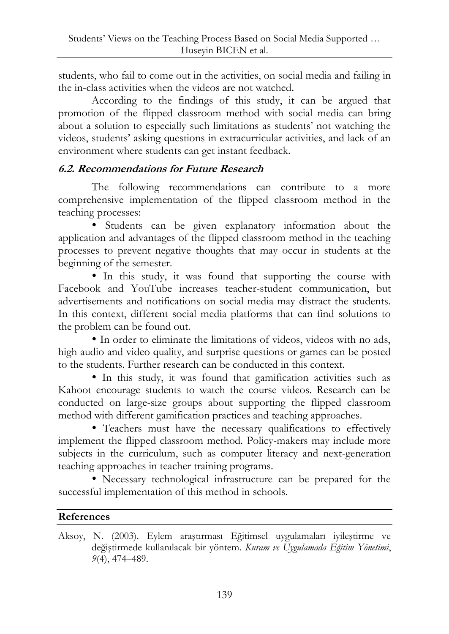students, who fail to come out in the activities, on social media and failing in the in-class activities when the videos are not watched.

According to the findings of this study, it can be argued that promotion of the flipped classroom method with social media can bring about a solution to especially such limitations as students" not watching the videos, students" asking questions in extracurricular activities, and lack of an environment where students can get instant feedback.

# **6.2. Recommendations for Future Research**

The following recommendations can contribute to a more comprehensive implementation of the flipped classroom method in the teaching processes:

 Students can be given explanatory information about the application and advantages of the flipped classroom method in the teaching processes to prevent negative thoughts that may occur in students at the beginning of the semester.

 In this study, it was found that supporting the course with Facebook and YouTube increases teacher-student communication, but advertisements and notifications on social media may distract the students. In this context, different social media platforms that can find solutions to the problem can be found out.

 In order to eliminate the limitations of videos, videos with no ads, high audio and video quality, and surprise questions or games can be posted to the students. Further research can be conducted in this context.

 In this study, it was found that gamification activities such as Kahoot encourage students to watch the course videos. Research can be conducted on large-size groups about supporting the flipped classroom method with different gamification practices and teaching approaches.

 Teachers must have the necessary qualifications to effectively implement the flipped classroom method. Policy-makers may include more subjects in the curriculum, such as computer literacy and next-generation teaching approaches in teacher training programs.

 Necessary technological infrastructure can be prepared for the successful implementation of this method in schools.

# **References**

Aksoy, N. (2003). Eylem araştırması Eğitimsel uygulamaları iyileştirme ve değiştirmede kullanılacak bir yöntem. *Kuram ve Uygulamada Eğitim Yönetimi*, *9*(4), 474–489.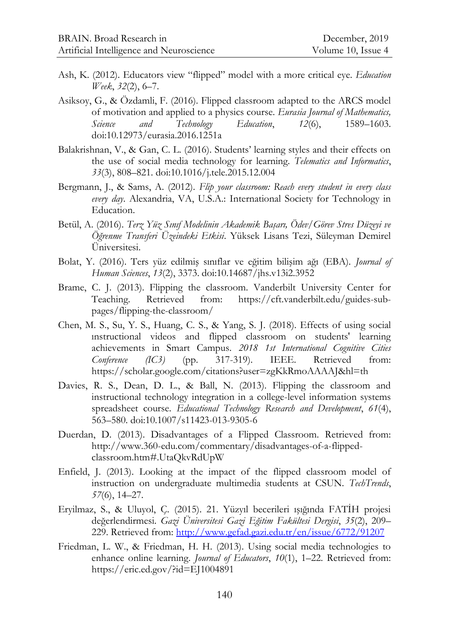- Ash, K. (2012). Educators view "flipped" model with a more critical eye. *Education Week*, *32*(2), 6–7.
- Asiksoy, G., & Özdamli, F. (2016). Flipped classroom adapted to the ARCS model of motivation and applied to a physics course. *Eurasia Journal of Mathematics, Science and Technology Education*, *12*(6), 1589–1603. doi:10.12973/eurasia.2016.1251a
- Balakrishnan, V., & Gan, C. L. (2016). Students" learning styles and their effects on the use of social media technology for learning. *Telematics and Informatics*, *33*(3), 808–821. doi:10.1016/j.tele.2015.12.004
- Bergmann, J., & Sams, A. (2012). *Flip your classroom: Reach every student in every class every day*. Alexandria, VA, U.S.A.: International Society for Technology in Education.
- Betül, A. (2016). *Terz Yüz Sınıf Modelinin Akademik Başarı, Ödev/Görev Stres Düzeyi ve Öğrenme Transferi Üzeindeki Etkisi*. Yüksek Lisans Tezi, Süleyman Demirel Üniversitesi.
- Bolat, Y. (2016). Ters yüz edilmiş sınıflar ve eğitim bilişim ağı (EBA). *Journal of Human Sciences*, *13*(2), 3373. doi:10.14687/jhs.v13i2.3952
- Brame, C. J. (2013). Flipping the classroom. Vanderbilt University Center for Teaching. Retrieved from: https://cft.vanderbilt.edu/guides-subpages/flipping-the-classroom/
- Chen, M. S., Su, Y. S., Huang, C. S., & Yang, S. J. (2018). Effects of using social ınstructional videos and flipped classroom on students' learning achievements in Smart Campus. *2018 1st International Cognitive Cities Conference (IC3)* (pp. 317-319). IEEE. Retrieved from: https://scholar.google.com/citations?user=zgKkRmoAAAAJ&hl=th
- Davies, R. S., Dean, D. L., & Ball, N. (2013). Flipping the classroom and instructional technology integration in a college-level information systems spreadsheet course. *Educational Technology Research and Development*, *61*(4), 563–580. doi:10.1007/s11423-013-9305-6
- Duerdan, D. (2013). Disadvantages of a Flipped Classroom. Retrieved from: http://www.360-edu.com/commentary/disadvantages-of-a-flippedclassroom.htm#.UtaQkvRdUpW
- Enfield, J. (2013). Looking at the impact of the flipped classroom model of instruction on undergraduate multimedia students at CSUN. *TechTrends*, *57*(6), 14–27.
- Eryilmaz, S., & Uluyol, Ç. (2015). 21. Yüzyıl becerileri ışığında FATİH projesi değerlendirmesi. *Gazi Üniversitesi Gazi Eğitim Fakültesi Dergisi*, *35*(2), 209– 229. Retrieved from:<http://www.gefad.gazi.edu.tr/en/issue/6772/91207>
- Friedman, L. W., & Friedman, H. H. (2013). Using social media technologies to enhance online learning. *Journal of Educators*, *10*(1), 1–22. Retrieved from: https://eric.ed.gov/?id=EJ1004891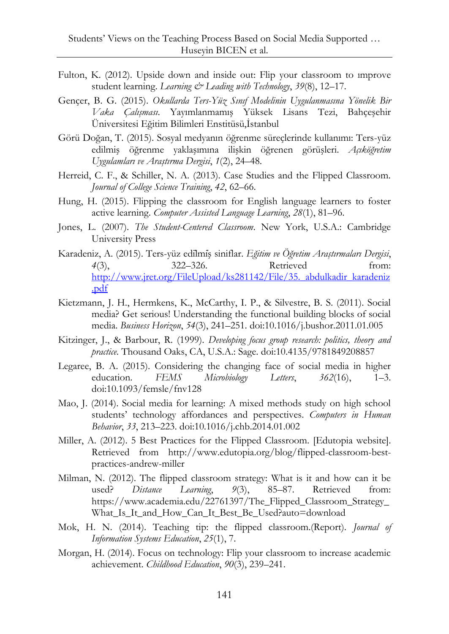- Fulton, K. (2012). Upside down and inside out: Flip your classroom to ımprove student learning. *Learning & Leading with Technology*, *39*(8), 12–17.
- Gençer, B. G. (2015). *Okullarda Ters-Yüz Sınıf Modelinin Uygulanmasına Yönelik Bir Vaka Çalışması*. Yayımlanmamış Yüksek Lisans Tezi, Bahçeşehir Üniversitesi Eğitim Bilimleri Enstitüsü,İstanbul
- Görü Doğan, T. (2015). Sosyal medyanın öğrenme süreçlerinde kullanımı: Ters-yüz edilmiş öğrenme yaklaşımına ilişkin öğrenen görüşleri. *Açıköğretim Uygulamları ve Araştırma Dergisi*, *1*(2), 24–48.
- Herreid, C. F., & Schiller, N. A. (2013). Case Studies and the Flipped Classroom. *Journal of College Science Training*, *42*, 62–66.
- Hung, H. (2015). Flipping the classroom for English language learners to foster active learning. *Computer Assisted Language Learning*, *28*(1), 81–96.
- Jones, L. (2007). *The Student-Centered Classroom*. New York, U.S.A.: Cambridge University Press
- Karadeniz, A. (2015). Ters-yüz edilmiş siniflar. *Eğitim ve Öğretim Araştırmaları Dergisi*, *4*(3), 322–326. Retrieved from: http://www.jret.org/FileUpload/ks281142/File/35. abdulkadir\_karadeniz [.pdf](http://www.jret.org/FileUpload/ks281142/File/35._abdulkadir_karadeniz.pdf)
- Kietzmann, J. H., Hermkens, K., McCarthy, I. P., & Silvestre, B. S. (2011). Social media? Get serious! Understanding the functional building blocks of social media. *Business Horizon*, *54*(3), 241–251. doi:10.1016/j.bushor.2011.01.005
- Kitzinger, J., & Barbour, R. (1999). *Developing focus group research: politics, theory and practice*. Thousand Oaks, CA, U.S.A.: Sage. doi:10.4135/9781849208857
- Legaree, B. A. (2015). Considering the changing face of social media in higher education. *FEMS Microbiology Letters*, *362*(16), 1–3. doi:10.1093/femsle/fnv128
- Mao, J. (2014). Social media for learning: A mixed methods study on high school students" technology affordances and perspectives. *Computers in Human Behavior*, *33*, 213–223. doi:10.1016/j.chb.2014.01.002
- Miller, A. (2012). 5 Best Practices for the Flipped Classroom. [Edutopia website]. Retrieved from http://www.edutopia.org/blog/flipped-classroom-bestpractices-andrew-miller
- Milman, N. (2012). The flipped classroom strategy: What is it and how can it be used? *Distance Learning*, *9*(3), 85–87. Retrieved from: https://www.academia.edu/22761397/The\_Flipped\_Classroom\_Strategy\_ What\_Is\_It\_and\_How\_Can\_It\_Best\_Be\_Used?auto=download
- Mok, H. N. (2014). Teaching tip: the flipped classroom.(Report). *Journal of Information Systems Education*, *25*(1), 7.
- Morgan, H. (2014). Focus on technology: Flip your classroom to increase academic achievement. *Childhood Education*, *90*(3), 239–241.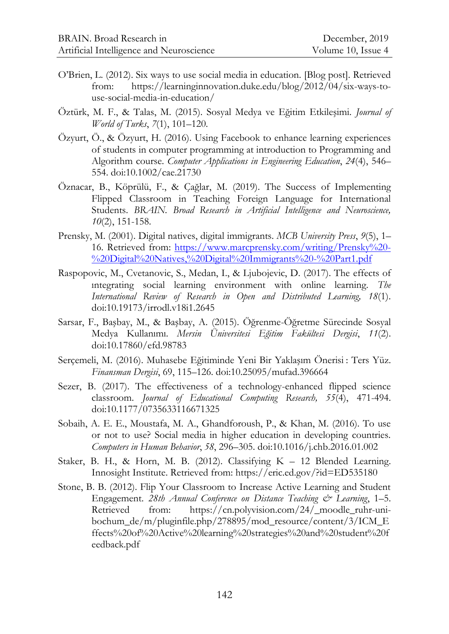- O"Brien, L. (2012). Six ways to use social media in education. [Blog post]. Retrieved from: https://learninginnovation.duke.edu/blog/2012/04/six-ways-touse-social-media-in-education/
- Öztürk, M. F., & Talas, M. (2015). Sosyal Medya ve Eğitim Etkileşimi. *Journal of World of Turks*, *7*(1), 101–120.
- Özyurt, Ö., & Özyurt, H. (2016). Using Facebook to enhance learning experiences of students in computer programming at introduction to Programming and Algorithm course. *Computer Applications in Engineering Education*, *24*(4), 546– 554. doi:10.1002/cae.21730
- Öznacar, B., Köprülü, F., & Çağlar, M. (2019). The Success of Implementing Flipped Classroom in Teaching Foreign Language for International Students. *BRAIN. Broad Research in Artificial Intelligence and Neuroscience, 10*(2), 151-158.
- Prensky, M. (2001). Digital natives, digital immigrants. *MCB University Press*, *9*(5), 1– 16. Retrieved from: [https://www.marcprensky.com/writing/Prensky%20-](https://www.marcprensky.com/writing/Prensky%20-%20Digital%20Natives,%20Digital%20Immigrants%20-%20Part1.pdf) [%20Digital%20Natives,%20Digital%20Immigrants%20-%20Part1.pdf](https://www.marcprensky.com/writing/Prensky%20-%20Digital%20Natives,%20Digital%20Immigrants%20-%20Part1.pdf)
- Raspopovic, M., Cvetanovic, S., Medan, I., & Ljubojevic, D. (2017). The effects of ıntegrating social learning environment with online learning. *The International Review of Research in Open and Distributed Learning, 18*(1). doi:10.19173/irrodl.v18i1.2645
- Sarsar, F., Başbay, M., & Başbay, A. (2015). Öğrenme-Öğretme Sürecinde Sosyal Medya Kullanımı. *Mersin Üniversitesi Eğitim Fakültesi Dergisi*, *11*(2). doi:10.17860/efd.98783
- Serçemeli, M. (2016). Muhasebe Eğitiminde Yeni Bir Yaklaşım Önerisi : Ters Yüz. *Finansman Dergisi*, 69, 115–126. doi:10.25095/mufad.396664
- Sezer, B. (2017). The effectiveness of a technology-enhanced flipped science classroom. *Journal of Educational Computing Research, 55*(4), 471-494. doi:10.1177/0735633116671325
- Sobaih, A. E. E., Moustafa, M. A., Ghandforoush, P., & Khan, M. (2016). To use or not to use? Social media in higher education in developing countries. *Computers in Human Behavior*, *58*, 296–305. doi:10.1016/j.chb.2016.01.002
- Staker, B. H., & Horn, M. B. (2012). Classifying K 12 Blended Learning. Innosight Institute. Retrieved from: https://eric.ed.gov/?id=ED535180
- Stone, B. B. (2012). Flip Your Classroom to Increase Active Learning and Student Engagement. *28th Annual Conference on Distance Teaching & Learning*, 1–5. Retrieved from: https://cn.polyvision.com/24/ moodle ruhr-unibochum\_de/m/pluginfile.php/278895/mod\_resource/content/3/ICM\_E ffects%20of%20Active%20learning%20strategies%20and%20student%20f eedback.pdf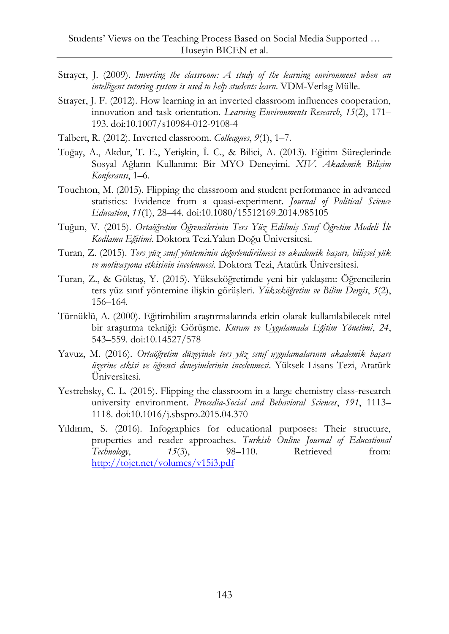- Strayer, J. (2009). *Inverting the classroom: A study of the learning environment when an intelligent tutoring system is used to help students learn*. VDM-Verlag Mülle.
- Strayer, J. F. (2012). How learning in an inverted classroom influences cooperation, innovation and task orientation. *Learning Environments Research*, *15*(2), 171– 193. doi:10.1007/s10984-012-9108-4
- Talbert, R. (2012). Inverted classroom. *Colleagues*, *9*(1), 1–7.
- Toğay, A., Akdur, T. E., Yetişkin, İ. C., & Bilici, A. (2013). Eğitim Süreçlerinde Sosyal Ağların Kullanımı: Bir MYO Deneyimi. *XIV. Akademik Bilişim Konferansı*, 1–6.
- Touchton, M. (2015). Flipping the classroom and student performance in advanced statistics: Evidence from a quasi-experiment. *Journal of Political Science Education*, *11*(1), 28–44. doi:10.1080/15512169.2014.985105
- Tuğun, V. (2015). *Ortaöğretim Öğrencilerinin Ters Yüz Edilmiş Sınıf Öğretim Modeli İle Kodlama Eğitimi*. Doktora Tezi.Yakın Doğu Üniversitesi.
- Turan, Z. (2015). *Ters yüz sınıf yönteminin değerlendirilmesi ve akademik başarı, bilişsel yük ve motivasyona etkisinin incelenmesi*. Doktora Tezi, Atatürk Üniversitesi.
- Turan, Z., & Göktaş, Y. (2015). Yükseköğretimde yeni bir yaklaşım: Öğrencilerin ters yüz sınıf yöntemine ilişkin görüşleri. *Yükseköğretim ve Bilim Dergis*, *5*(2), 156–164.
- Türnüklü, A. (2000). Eğitimbilim araştırmalarında etkin olarak kullanılabilecek nitel bir araştırma tekniği: Görüşme. *Kuram ve Uygulamada Eğitim Yönetimi*, *24*, 543–559. doi:10.14527/578
- Yavuz, M. (2016). *Ortaöğretim düzeyinde ters yüz sınıf uygulamalarının akademik başarı üzerine etkisi ve öğrenci deneyimlerinin incelenmesi*. Yüksek Lisans Tezi, Atatürk Üniversitesi.
- Yestrebsky, C. L. (2015). Flipping the classroom in a large chemistry class-research university environment. *Procedia-Social and Behavioral Sciences*, *191*, 1113– 1118. doi:10.1016/j.sbspro.2015.04.370
- Yıldırım, S. (2016). Infographics for educational purposes: Their structure, properties and reader approaches. *Turkish Online Journal of Educational Technology*, *15*(3), 98–110. Retrieved from: <http://tojet.net/volumes/v15i3.pdf>